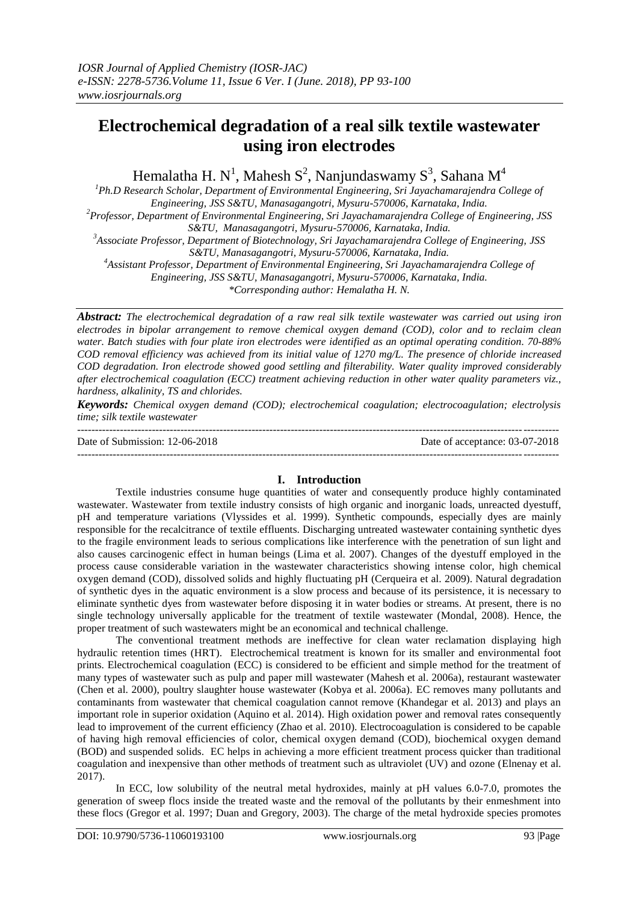# **Electrochemical degradation of a real silk textile wastewater using iron electrodes**

Hemalatha H. N $^{\rm l}$ , Mahesh  $\rm S^2$ , Nanjundaswamy  $\rm S^3$ , Sahana  $\rm M^4$ 

*<sup>1</sup>Ph.D Research Scholar, Department of Environmental Engineering, Sri Jayachamarajendra College of Engineering, JSS S&TU, Manasagangotri, Mysuru-570006, Karnataka, India.* 

*<sup>2</sup>Professor, Department of Environmental Engineering, Sri Jayachamarajendra College of Engineering, JSS S&TU, Manasagangotri, Mysuru-570006, Karnataka, India.* 

*<sup>3</sup>Associate Professor, Department of Biotechnology, Sri Jayachamarajendra College of Engineering, JSS* 

*S&TU, Manasagangotri, Mysuru-570006, Karnataka, India.* 

*<sup>4</sup>Assistant Professor, Department of Environmental Engineering, Sri Jayachamarajendra College of* 

*Engineering, JSS S&TU, Manasagangotri, Mysuru-570006, Karnataka, India.* 

*\*Corresponding author: Hemalatha H. N.*

*Abstract: The electrochemical degradation of a raw real silk textile wastewater was carried out using iron electrodes in bipolar arrangement to remove chemical oxygen demand (COD), color and to reclaim clean water. Batch studies with four plate iron electrodes were identified as an optimal operating condition. 70-88% COD removal efficiency was achieved from its initial value of 1270 mg/L. The presence of chloride increased COD degradation. Iron electrode showed good settling and filterability. Water quality improved considerably after electrochemical coagulation (ECC) treatment achieving reduction in other water quality parameters viz., hardness, alkalinity, TS and chlorides.* 

*Keywords: Chemical oxygen demand (COD); electrochemical coagulation; electrocoagulation; electrolysis time; silk textile wastewater* ---------------------------------------------------------------------------------------------------------------------------------------

Date of Submission: 12-06-2018 Date of acceptance: 03-07-2018

---------------------------------------------------------------------------------------------------------------------------------------

# **I. Introduction**

Textile industries consume huge quantities of water and consequently produce highly contaminated wastewater. Wastewater from textile industry consists of high organic and inorganic loads, unreacted dyestuff, pH and temperature variations (Vlyssides et al. 1999). Synthetic compounds, especially dyes are mainly responsible for the recalcitrance of textile effluents. Discharging untreated wastewater containing synthetic dyes to the fragile environment leads to serious complications like interference with the penetration of sun light and also causes carcinogenic effect in human beings (Lima et al. 2007). Changes of the dyestuff employed in the process cause considerable variation in the wastewater characteristics showing intense color, high chemical oxygen demand (COD), dissolved solids and highly fluctuating pH (Cerqueira et al. 2009). Natural degradation of synthetic dyes in the aquatic environment is a slow process and because of its persistence, it is necessary to eliminate synthetic dyes from wastewater before disposing it in water bodies or streams. At present, there is no single technology universally applicable for the treatment of textile wastewater (Mondal, 2008). Hence, the proper treatment of such wastewaters might be an economical and technical challenge.

The conventional treatment methods are ineffective for clean water reclamation displaying high hydraulic retention times (HRT). Electrochemical treatment is known for its smaller and environmental foot prints. Electrochemical coagulation (ECC) is considered to be efficient and simple method for the treatment of many types of wastewater such as pulp and paper mill wastewater (Mahesh et al. 2006a), restaurant wastewater (Chen et al. 2000), poultry slaughter house wastewater (Kobya et al. 2006a). EC removes many pollutants and contaminants from wastewater that chemical coagulation cannot remove (Khandegar et al. 2013) and plays an important role in superior oxidation (Aquino et al. 2014). High oxidation power and removal rates consequently lead to improvement of the current efficiency (Zhao et al. 2010). Electrocoagulation is considered to be capable of having high removal efficiencies of color, chemical oxygen demand (COD), biochemical oxygen demand (BOD) and suspended solids. EC helps in achieving a more efficient treatment process quicker than traditional coagulation and inexpensive than other methods of treatment such as ultraviolet (UV) and ozone (Elnenay et al. 2017).

In ECC, low solubility of the neutral metal hydroxides, mainly at pH values 6.0-7.0, promotes the generation of sweep flocs inside the treated waste and the removal of the pollutants by their enmeshment into these flocs (Gregor et al. 1997; Duan and Gregory, 2003). The charge of the metal hydroxide species promotes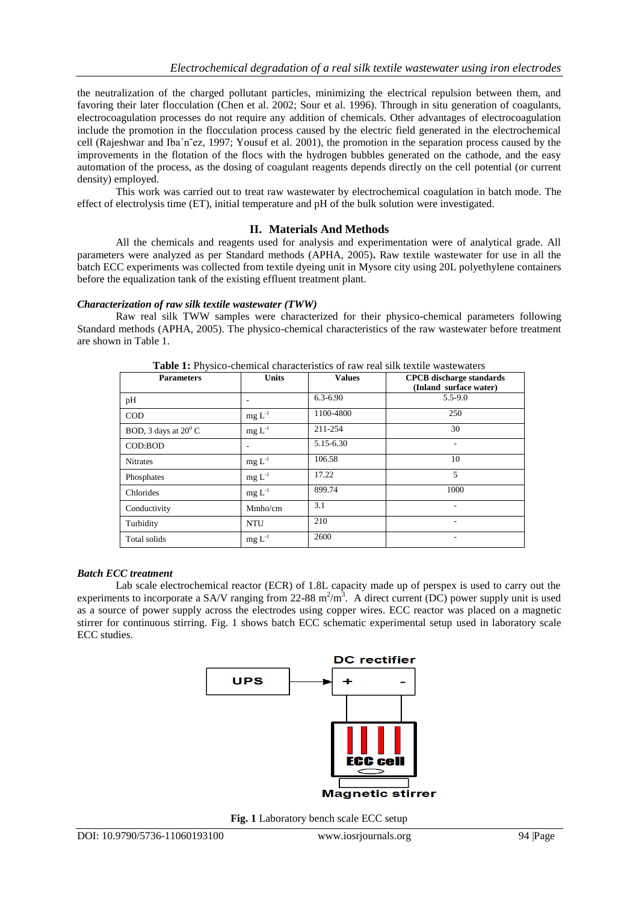the neutralization of the charged pollutant particles, minimizing the electrical repulsion between them, and favoring their later flocculation (Chen et al. 2002; Sour et al. 1996). Through in situ generation of coagulants, electrocoagulation processes do not require any addition of chemicals. Other advantages of electrocoagulation include the promotion in the flocculation process caused by the electric field generated in the electrochemical cell (Rajeshwar and Iba'n~ez, 1997; Yousuf et al. 2001), the promotion in the separation process caused by the improvements in the flotation of the flocs with the hydrogen bubbles generated on the cathode, and the easy automation of the process, as the dosing of coagulant reagents depends directly on the cell potential (or current density) employed.

This work was carried out to treat raw wastewater by electrochemical coagulation in batch mode. The effect of electrolysis time (ET), initial temperature and pH of the bulk solution were investigated.

# **II. Materials And Methods**

All the chemicals and reagents used for analysis and experimentation were of analytical grade. All parameters were analyzed as per Standard methods (APHA, 2005)**.** Raw textile wastewater for use in all the batch ECC experiments was collected from textile dyeing unit in Mysore city using 20L polyethylene containers before the equalization tank of the existing effluent treatment plant.

*Characterization of raw silk textile wastewater (TWW)*

Raw real silk TWW samples were characterized for their physico-chemical parameters following Standard methods (APHA, 2005). The physico-chemical characteristics of the raw wastewater before treatment are shown in Table 1.

| <b>TWORE IT I</b> HYSICO CHUMMUM UNUMULUISICS OF IMA TUME SHIK WARNO MUSIC MULUIS |              |               |                                                           |  |
|-----------------------------------------------------------------------------------|--------------|---------------|-----------------------------------------------------------|--|
| <b>Parameters</b>                                                                 | <b>Units</b> | <b>Values</b> | <b>CPCB</b> discharge standards<br>(Inland surface water) |  |
| pH                                                                                |              | $6.3 - 6.90$  | $5.5 - 9.0$                                               |  |
| <b>COD</b>                                                                        | $mg L-1$     | 1100-4800     | 250                                                       |  |
| BOD, 3 days at $20^{\circ}$ C                                                     | $mg L-1$     | 211-254       | 30                                                        |  |
| COD:BOD                                                                           |              | 5.15-6.30     | ۰                                                         |  |
| <b>Nitrates</b>                                                                   | $mg L-1$     | 106.58        | 10                                                        |  |
| Phosphates                                                                        | $mg L^{-1}$  | 17.22         | 5                                                         |  |
| Chlorides                                                                         | $mg L^{-1}$  | 899.74        | 1000                                                      |  |
| Conductivity                                                                      | Mmho/cm      | 3.1           |                                                           |  |
| Turbidity                                                                         | <b>NTU</b>   | 210           | ۰                                                         |  |
| Total solids                                                                      | $mg L^{-1}$  | 2600          | ۰                                                         |  |

**Table 1:** Physico-chemical characteristics of raw real silk textile wastewaters

### *Batch ECC treatment*

Lab scale electrochemical reactor (ECR) of 1.8L capacity made up of perspex is used to carry out the experiments to incorporate a SA/V ranging from 22-88  $m^2/m^3$ . A direct current (DC) power supply unit is used as a source of power supply across the electrodes using copper wires. ECC reactor was placed on a magnetic stirrer for continuous stirring. Fig. 1 shows batch ECC schematic experimental setup used in laboratory scale ECC studies.



**Fig. 1** Laboratory bench scale ECC setup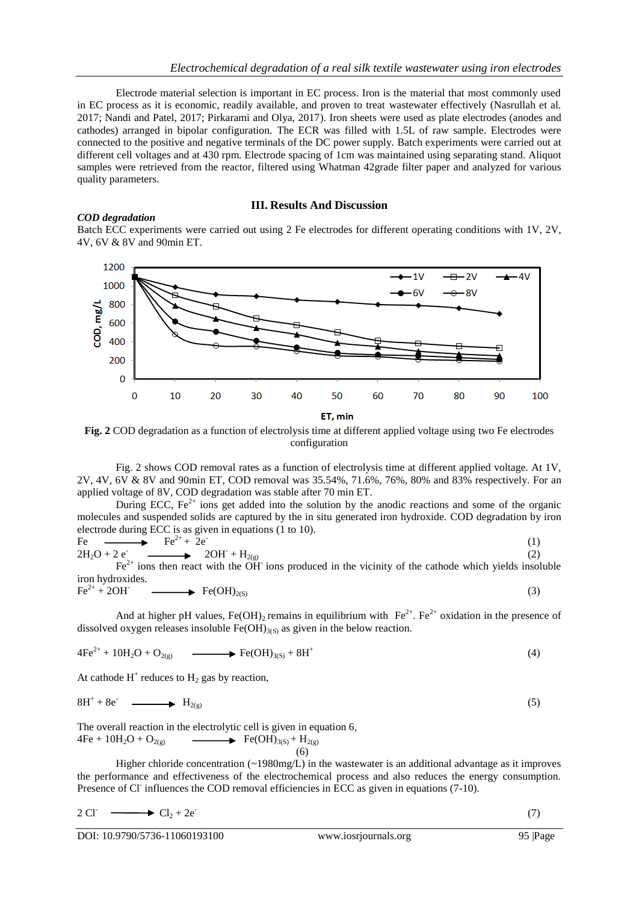Electrode material selection is important in EC process. Iron is the material that most commonly used in EC process as it is economic, readily available, and proven to treat wastewater effectively (Nasrullah et al. 2017; Nandi and Patel, 2017; Pirkarami and Olya, 2017). Iron sheets were used as plate electrodes (anodes and cathodes) arranged in bipolar configuration. The ECR was filled with 1.5L of raw sample. Electrodes were connected to the positive and negative terminals of the DC power supply. Batch experiments were carried out at different cell voltages and at 430 rpm. Electrode spacing of 1cm was maintained using separating stand. Aliquot samples were retrieved from the reactor, filtered using Whatman 42grade filter paper and analyzed for various quality parameters.

# **III. Results And Discussion**

# *COD degradation*

Batch ECC experiments were carried out using 2 Fe electrodes for different operating conditions with 1V, 2V, 4V, 6V & 8V and 90min ET.



**Fig. 2** COD degradation as a function of electrolysis time at different applied voltage using two Fe electrodes configuration

Fig. 2 shows COD removal rates as a function of electrolysis time at different applied voltage. At 1V, 2V, 4V, 6V & 8V and 90min ET, COD removal was 35.54%, 71.6%, 76%, 80% and 83% respectively. For an applied voltage of 8V, COD degradation was stable after 70 min ET.

During ECC,  $Fe^{2+}$  ions get added into the solution by the anodic reactions and some of the organic molecules and suspended solids are captured by the in situ generated iron hydroxide. COD degradation by iron electrode during ECC is as given in equations (1 to 10).

$$
\text{Fe} \longrightarrow \text{Fe}^{2+} + 2\text{e} \longrightarrow 2\text{OH} + \text{H}_{2(g)} \longrightarrow 2\text{OH} + \text{H}_{2(g)} \longrightarrow 2\text{OH} + \text{H}_{2(g)} \longrightarrow (2) \tag{2}
$$
\n
$$
\text{Fe}^{2+} \text{ ions then react with the OH} \text{ ions produced in the vicinity of the cathode which yields insoluble}
$$

iron hydroxides.  $Fe^{2+} + 2OH^ \rightarrow$  Fe(OH)<sub>2(S)</sub> (3)

And at higher pH values, Fe(OH)<sub>2</sub> remains in equilibrium with  $Fe^{2+}$ . Fe<sup>2+</sup> oxidation in the presence of dissolved oxygen releases insoluble  $Fe(OH)_{3(S)}$  as given in the below reaction.

$$
4Fe^{2+} + 10H_2O + O_{2(g)} \longrightarrow Fe(OH)_{3(S)} + 8H^+ \tag{4}
$$

At cathode  $H^+$  reduces to  $H_2$  gas by reaction,

$$
8H^{+} + 8e^{-} \longrightarrow H_{2(g)}
$$
\n
$$
(5)
$$

The overall reaction in the electrolytic cell is given in equation 6,  $4Fe + 10H_2O + O_{2(g)}$   $\longrightarrow$  Fe(OH)<sub>3(S)</sub> + H<sub>2(g)</sub>

(6)

Higher chloride concentration (~1980mg/L) in the wastewater is an additional advantage as it improves the performance and effectiveness of the electrochemical process and also reduces the energy consumption. Presence of Cl<sup>-</sup> influences the COD removal efficiencies in ECC as given in equations (7-10).

$$
2 \text{ CI} \longrightarrow \text{Cl}_2 + 2e \tag{7}
$$

DOI: 10.9790/5736-11060193100 www.iosrjournals.org 95 |Page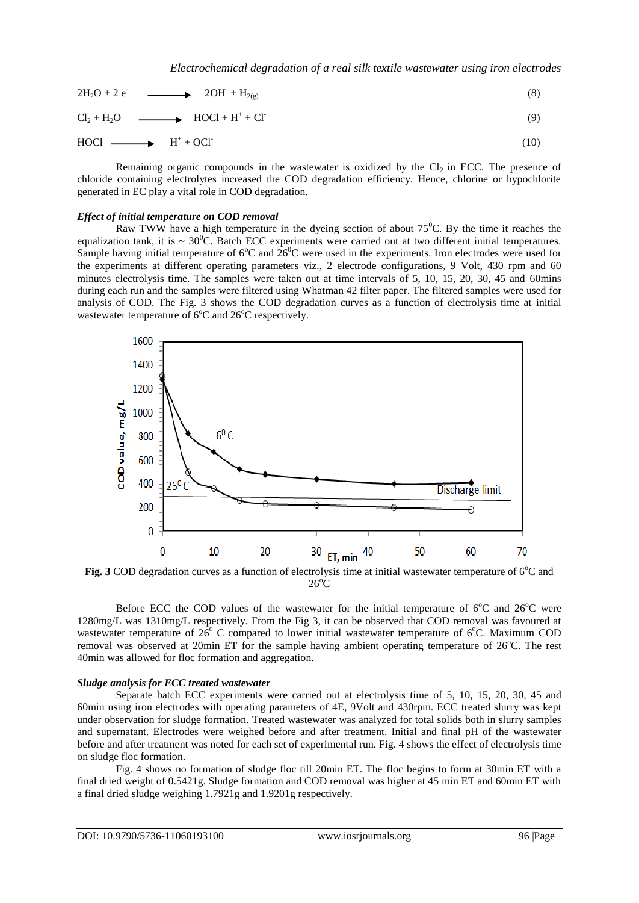| $2H_2O + 2e^-$ 20H <sup>-</sup> +H <sub>2(g)</sub>  | (8)  |
|-----------------------------------------------------|------|
| $Cl_2 + H_2O$ $\longrightarrow$ $HOCl + H^+ + Cl^-$ | (9)  |
| $H[OC] \longrightarrow H^+ + OCI^-$                 | (10) |

Remaining organic compounds in the wastewater is oxidized by the  $Cl<sub>2</sub>$  in ECC. The presence of chloride containing electrolytes increased the COD degradation efficiency. Hence, chlorine or hypochlorite generated in EC play a vital role in COD degradation.

### *Effect of initial temperature on COD removal*

Raw TWW have a high temperature in the dyeing section of about  $75^{\circ}$ C. By the time it reaches the equalization tank, it is  $\sim 30^0C$ . Batch ECC experiments were carried out at two different initial temperatures. Sample having initial temperature of  $6^{\circ}$ C and  $26^{\circ}$ C were used in the experiments. Iron electrodes were used for the experiments at different operating parameters viz., 2 electrode configurations, 9 Volt, 430 rpm and 60 minutes electrolysis time. The samples were taken out at time intervals of 5, 10, 15, 20, 30, 45 and 60mins during each run and the samples were filtered using Whatman 42 filter paper. The filtered samples were used for analysis of COD. The Fig. 3 shows the COD degradation curves as a function of electrolysis time at initial wastewater temperature of  $6^{\circ}$ C and  $26^{\circ}$ C respectively.



**Fig. 3** COD degradation curves as a function of electrolysis time at initial wastewater temperature of  $6^{\circ}$ C and  $26^{\circ}$ C

Before ECC the COD values of the wastewater for the initial temperature of  $6^{\circ}$ C and  $26^{\circ}$ C were 1280mg/L was 1310mg/L respectively. From the Fig 3, it can be observed that COD removal was favoured at wastewater temperature of  $26^{\circ}$  C compared to lower initial wastewater temperature of  $6^{\circ}$ C. Maximum COD removal was observed at 20min ET for the sample having ambient operating temperature of  $26^{\circ}$ C. The rest 40min was allowed for floc formation and aggregation.

### *Sludge analysis for ECC treated wastewater*

Separate batch ECC experiments were carried out at electrolysis time of 5, 10, 15, 20, 30, 45 and 60min using iron electrodes with operating parameters of 4E, 9Volt and 430rpm. ECC treated slurry was kept under observation for sludge formation. Treated wastewater was analyzed for total solids both in slurry samples and supernatant. Electrodes were weighed before and after treatment. Initial and final pH of the wastewater before and after treatment was noted for each set of experimental run. Fig. 4 shows the effect of electrolysis time on sludge floc formation.

Fig. 4 shows no formation of sludge floc till 20min ET. The floc begins to form at 30min ET with a final dried weight of 0.5421g. Sludge formation and COD removal was higher at 45 min ET and 60min ET with a final dried sludge weighing 1.7921g and 1.9201g respectively.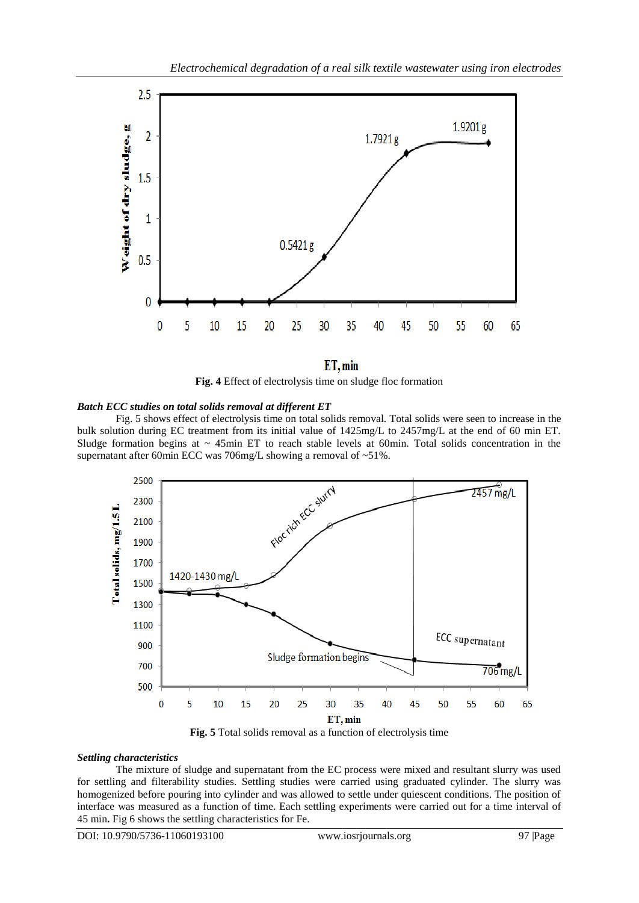

 $ET, min$ **Fig. 4** Effect of electrolysis time on sludge floc formation

# *Batch ECC studies on total solids removal at different ET*

Fig. 5 shows effect of electrolysis time on total solids removal. Total solids were seen to increase in the bulk solution during EC treatment from its initial value of 1425mg/L to 2457mg/L at the end of 60 min ET. Sludge formation begins at  $\sim$  45min ET to reach stable levels at 60min. Total solids concentration in the supernatant after 60min ECC was 706mg/L showing a removal of ~51%.



**Fig. 5** Total solids removal as a function of electrolysis time

## *Settling characteristics*

The mixture of sludge and supernatant from the EC process were mixed and resultant slurry was used for settling and filterability studies. Settling studies were carried using graduated cylinder. The slurry was homogenized before pouring into cylinder and was allowed to settle under quiescent conditions. The position of interface was measured as a function of time. Each settling experiments were carried out for a time interval of 45 min**.** Fig 6 shows the settling characteristics for Fe.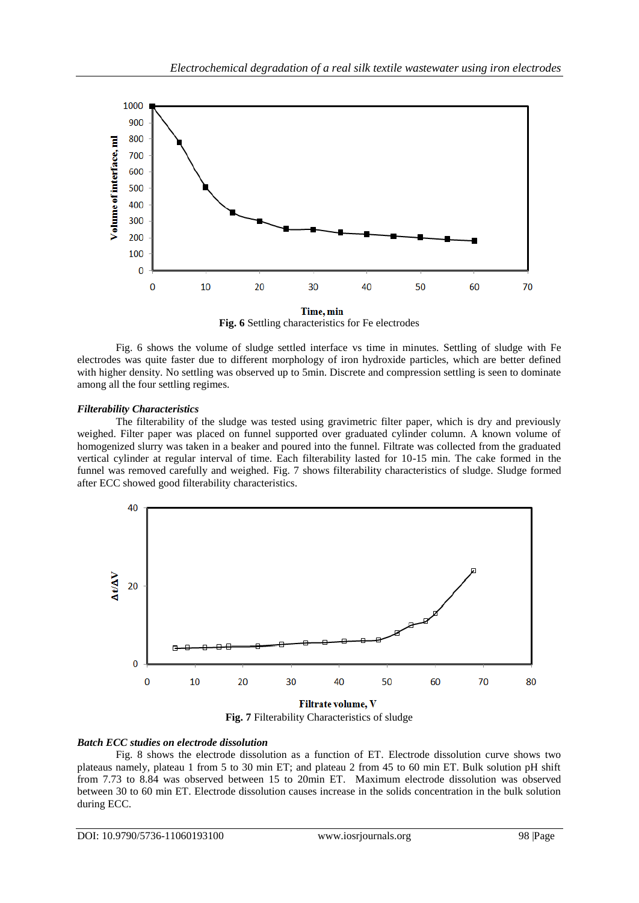

**Fig. 6** Settling characteristics for Fe electrodes

Fig. 6 shows the volume of sludge settled interface vs time in minutes. Settling of sludge with Fe electrodes was quite faster due to different morphology of iron hydroxide particles, which are better defined with higher density. No settling was observed up to 5min. Discrete and compression settling is seen to dominate among all the four settling regimes.

# *Filterability Characteristics*

The filterability of the sludge was tested using gravimetric filter paper, which is dry and previously weighed. Filter paper was placed on funnel supported over graduated cylinder column. A known volume of homogenized slurry was taken in a beaker and poured into the funnel. Filtrate was collected from the graduated vertical cylinder at regular interval of time. Each filterability lasted for 10-15 min. The cake formed in the funnel was removed carefully and weighed. Fig. 7 shows filterability characteristics of sludge. Sludge formed after ECC showed good filterability characteristics.



**Fig. 7** Filterability Characteristics of sludge

# *Batch ECC studies on electrode dissolution*

Fig. 8 shows the electrode dissolution as a function of ET. Electrode dissolution curve shows two plateaus namely, plateau 1 from 5 to 30 min ET; and plateau 2 from 45 to 60 min ET. Bulk solution pH shift from 7.73 to 8.84 was observed between 15 to 20min ET. Maximum electrode dissolution was observed between 30 to 60 min ET. Electrode dissolution causes increase in the solids concentration in the bulk solution during ECC.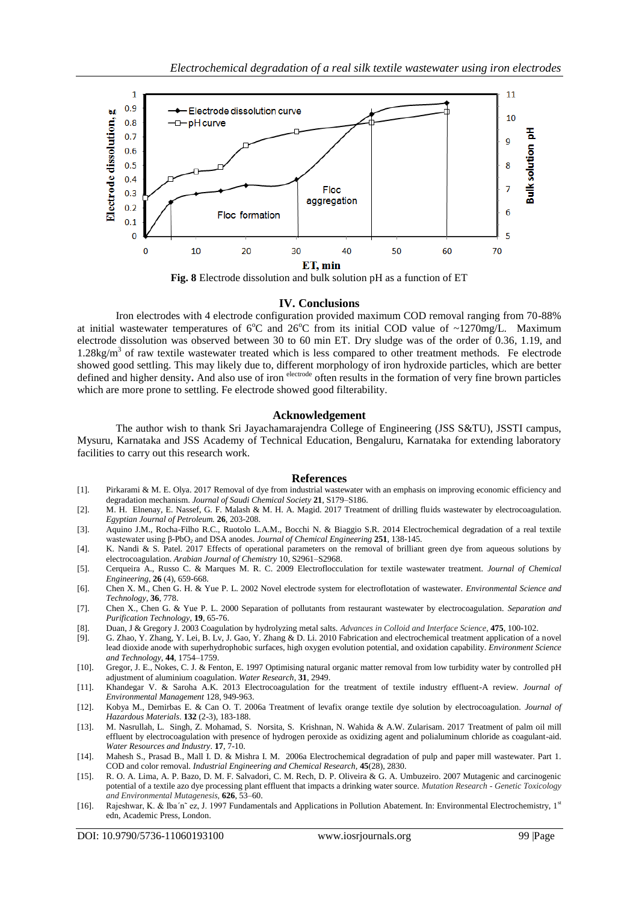

**Fig. 8** Electrode dissolution and bulk solution pH as a function of ET

### **IV. Conclusions**

Iron electrodes with 4 electrode configuration provided maximum COD removal ranging from 70-88% at initial wastewater temperatures of  $6^{\circ}$ C and  $26^{\circ}$ C from its initial COD value of ~1270mg/L. Maximum electrode dissolution was observed between 30 to 60 min ET. Dry sludge was of the order of 0.36, 1.19, and 1.28kg/m<sup>3</sup> of raw textile wastewater treated which is less compared to other treatment methods. Fe electrode showed good settling. This may likely due to, different morphology of iron hydroxide particles, which are better defined and higher density. And also use of iron electrode often results in the formation of very fine brown particles which are more prone to settling. Fe electrode showed good filterability.

# **Acknowledgement**

The author wish to thank Sri Jayachamarajendra College of Engineering (JSS S&TU), JSSTI campus, Mysuru, Karnataka and JSS Academy of Technical Education, Bengaluru, Karnataka for extending laboratory facilities to carry out this research work.

#### **References**

- [1]. Pirkarami & M. E. Olya. 2017 Removal of dye from industrial wastewater with an emphasis on improving economic efficiency and degradation mechanism. *Journal of Saudi Chemical Society* **21**, S179–S186.
- [2]. M. H. Elnenay, E. Nassef, G. F. Malash & M. H. A. Magid. 2017 Treatment of drilling fluids wastewater by electrocoagulation. *Egyptian Journal of Petroleum.* **26**, 203-208.
- [3]. Aquino J.M., Rocha-Filho R.C., Ruotolo L.A.M., Bocchi N. & Biaggio S.R. 2014 Electrochemical degradation of a real textile wastewater using β-PbO<sub>2</sub> and DSA anodes. *Journal of Chemical Engineering* 251, 138-145.
- [4]. K. Nandi & S. Patel. 2017 Effects of operational parameters on the removal of brilliant green dye from aqueous solutions by electrocoagulation. *Arabian Journal of Chemistry* 10, S2961–S2968.
- [5]. Cerqueira A., Russo C. & Marques M. R. C. 2009 Electroflocculation for textile wastewater treatment. *Journal of Chemical Engineering*, **26** (4), 659-668.
- [6]. Chen X. M., Chen G. H. & Yue P. L. 2002 Novel electrode system for electroflotation of wastewater. *Environmental Science and Technology*, **36**, 778.
- [7]. Chen X., Chen G. & Yue P. L. 2000 Separation of pollutants from restaurant wastewater by electrocoagulation. *Separation and Purification Technology,* **19**, 65-76.
- [8]. Duan, J & Gregory J. 2003 Coagulation by hydrolyzing metal salts. *Advances in Colloid and Interface Science*, **475**, 100-102.
- [9]. G. Zhao, Y. Zhang, Y. Lei, B. Lv, J. Gao, Y. Zhang & D. Li. 2010 Fabrication and electrochemical treatment application of a novel lead dioxide anode with superhydrophobic surfaces, high oxygen evolution potential, and oxidation capability. *Environment Science and Technology*, **44**, 1754–1759.
- [10]. Gregor, J. E., Nokes, C. J. & Fenton, E. 1997 Optimising natural organic matter removal from low turbidity water by controlled pH adjustment of aluminium coagulation. *Water Research*, **31**, 2949.
- [11]. Khandegar V. & Saroha A.K. 2013 Electrocoagulation for the treatment of textile industry effluent-A review. *Journal of Environmental Management* 128, 949-963.
- [12]. Kobya M., Demirbas E. & Can O. T. 2006a Treatment of levafix orange textile dye solution by electrocoagulation. *Journal of Hazardous Materials*. **132** (2-3), 183-188.
- [13]. M. Nasrullah, L. Singh, Z. Mohamad, S. Norsita, S. Krishnan, N. Wahida & A.W. Zularisam. 2017 Treatment of palm oil mill effluent by electrocoagulation with presence of hydrogen peroxide as oxidizing agent and polialuminum chloride as coagulant-aid. *Water Resources and Industry*. **17**, 7-10.
- [14]. Mahesh S., Prasad B., Mall I. D. & Mishra I. M. 2006a Electrochemical degradation of pulp and paper mill wastewater. Part 1. COD and color removal. *Industrial Engineering and Chemical Research,* **45**(28), 2830.
- [15]. R. O. A. Lima, A. P. Bazo, D. M. F. Salvadori, C. M. Rech, D. P. Oliveira & G. A. Umbuzeiro. 2007 Mutagenic and carcinogenic potential of a textile azo dye processing plant effluent that impacts a drinking water source. *Mutation Research - Genetic Toxicology and Environmental Mutagenesis,* **626**, 53–60.
- [16]. Rajeshwar, K. & Iba'n~ ez, J. 1997 Fundamentals and Applications in Pollution Abatement. In: Environmental Electrochemistry, 1st edn, Academic Press, London.